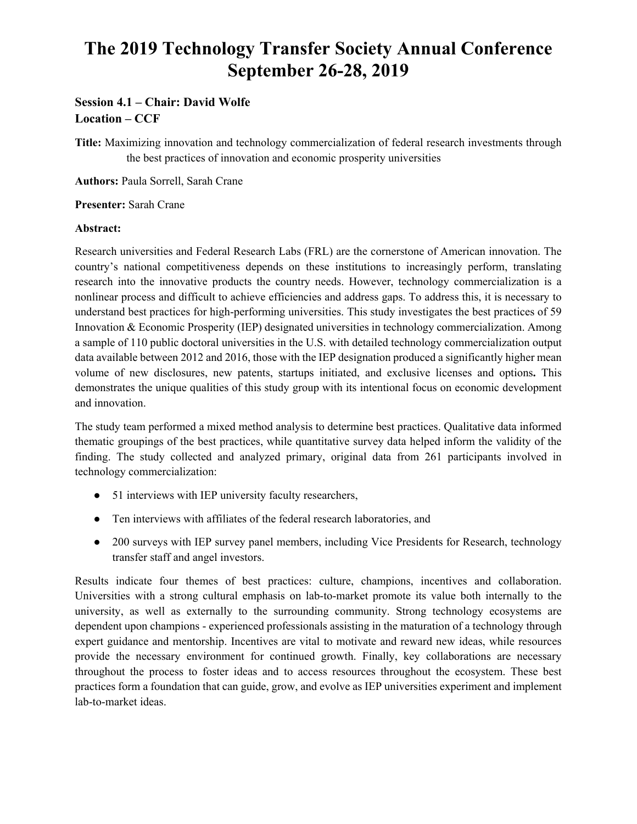# **The 2019 Technology Transfer Society Annual Conference September 26-28, 2019**

## **Session 4.1 – Chair: David Wolfe Location – CCF**

**Title:** Maximizing innovation and technology commercialization of federal research investments through the best practices of innovation and economic prosperity universities

**Authors:** Paula Sorrell, Sarah Crane

#### **Presenter:** Sarah Crane

#### **Abstract:**

Research universities and Federal Research Labs (FRL) are the cornerstone of American innovation. The country's national competitiveness depends on these institutions to increasingly perform, translating research into the innovative products the country needs. However, technology commercialization is a nonlinear process and difficult to achieve efficiencies and address gaps. To address this, it is necessary to understand best practices for high-performing universities. This study investigates the best practices of 59 Innovation & Economic Prosperity (IEP) designated universities in technology commercialization. Among a sample of 110 public doctoral universities in the U.S. with detailed technology commercialization output data available between 2012 and 2016, those with the IEP designation produced a significantly higher mean volume of new disclosures, new patents, startups initiated, and exclusive licenses and options**.** This demonstrates the unique qualities of this study group with its intentional focus on economic development and innovation.

The study team performed a mixed method analysis to determine best practices. Qualitative data informed thematic groupings of the best practices, while quantitative survey data helped inform the validity of the finding. The study collected and analyzed primary, original data from 261 participants involved in technology commercialization:

- 51 interviews with IEP university faculty researchers,
- Ten interviews with affiliates of the federal research laboratories, and
- 200 surveys with IEP survey panel members, including Vice Presidents for Research, technology transfer staff and angel investors.

Results indicate four themes of best practices: culture, champions, incentives and collaboration. Universities with a strong cultural emphasis on lab-to-market promote its value both internally to the university, as well as externally to the surrounding community. Strong technology ecosystems are dependent upon champions - experienced professionals assisting in the maturation of a technology through expert guidance and mentorship. Incentives are vital to motivate and reward new ideas, while resources provide the necessary environment for continued growth. Finally, key collaborations are necessary throughout the process to foster ideas and to access resources throughout the ecosystem. These best practices form a foundation that can guide, grow, and evolve as IEP universities experiment and implement lab-to-market ideas.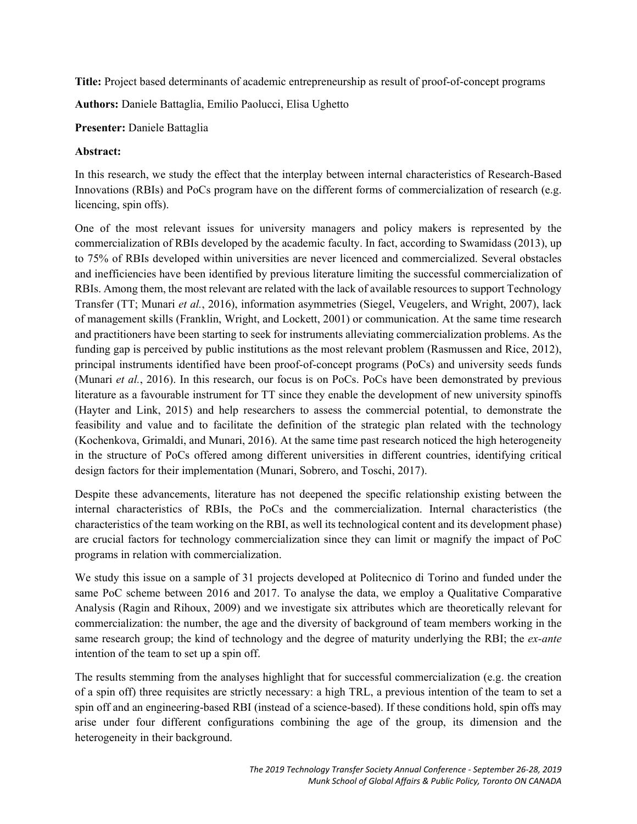**Title:** Project based determinants of academic entrepreneurship as result of proof-of-concept programs

**Authors:** Daniele Battaglia, Emilio Paolucci, Elisa Ughetto

#### **Presenter:** Daniele Battaglia

### **Abstract:**

In this research, we study the effect that the interplay between internal characteristics of Research-Based Innovations (RBIs) and PoCs program have on the different forms of commercialization of research (e.g. licencing, spin offs).

One of the most relevant issues for university managers and policy makers is represented by the commercialization of RBIs developed by the academic faculty. In fact, according to Swamidass (2013), up to 75% of RBIs developed within universities are never licenced and commercialized. Several obstacles and inefficiencies have been identified by previous literature limiting the successful commercialization of RBIs. Among them, the most relevant are related with the lack of available resources to support Technology Transfer (TT; Munari *et al.*, 2016), information asymmetries (Siegel, Veugelers, and Wright, 2007), lack of management skills (Franklin, Wright, and Lockett, 2001) or communication. At the same time research and practitioners have been starting to seek for instruments alleviating commercialization problems. As the funding gap is perceived by public institutions as the most relevant problem (Rasmussen and Rice, 2012), principal instruments identified have been proof-of-concept programs (PoCs) and university seeds funds (Munari *et al.*, 2016). In this research, our focus is on PoCs. PoCs have been demonstrated by previous literature as a favourable instrument for TT since they enable the development of new university spinoffs (Hayter and Link, 2015) and help researchers to assess the commercial potential, to demonstrate the feasibility and value and to facilitate the definition of the strategic plan related with the technology (Kochenkova, Grimaldi, and Munari, 2016). At the same time past research noticed the high heterogeneity in the structure of PoCs offered among different universities in different countries, identifying critical design factors for their implementation (Munari, Sobrero, and Toschi, 2017).

Despite these advancements, literature has not deepened the specific relationship existing between the internal characteristics of RBIs, the PoCs and the commercialization. Internal characteristics (the characteristics of the team working on the RBI, as well its technological content and its development phase) are crucial factors for technology commercialization since they can limit or magnify the impact of PoC programs in relation with commercialization.

We study this issue on a sample of 31 projects developed at Politecnico di Torino and funded under the same PoC scheme between 2016 and 2017. To analyse the data, we employ a Qualitative Comparative Analysis (Ragin and Rihoux, 2009) and we investigate six attributes which are theoretically relevant for commercialization: the number, the age and the diversity of background of team members working in the same research group; the kind of technology and the degree of maturity underlying the RBI; the *ex-ante* intention of the team to set up a spin off.

The results stemming from the analyses highlight that for successful commercialization (e.g. the creation of a spin off) three requisites are strictly necessary: a high TRL, a previous intention of the team to set a spin off and an engineering-based RBI (instead of a science-based). If these conditions hold, spin offs may arise under four different configurations combining the age of the group, its dimension and the heterogeneity in their background.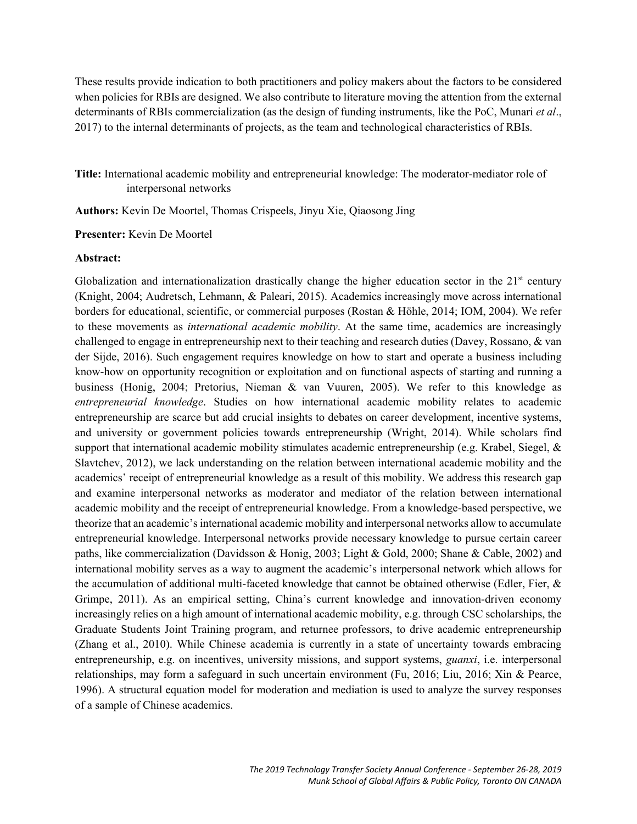These results provide indication to both practitioners and policy makers about the factors to be considered when policies for RBIs are designed. We also contribute to literature moving the attention from the external determinants of RBIs commercialization (as the design of funding instruments, like the PoC, Munari *et al*., 2017) to the internal determinants of projects, as the team and technological characteristics of RBIs.

**Title:** International academic mobility and entrepreneurial knowledge: The moderator-mediator role of interpersonal networks

**Authors:** Kevin De Moortel, Thomas Crispeels, Jinyu Xie, Qiaosong Jing

**Presenter:** Kevin De Moortel

#### **Abstract:**

Globalization and internationalization drastically change the higher education sector in the  $21<sup>st</sup>$  century (Knight, 2004; Audretsch, Lehmann, & Paleari, 2015). Academics increasingly move across international borders for educational, scientific, or commercial purposes (Rostan & Höhle, 2014; IOM, 2004). We refer to these movements as *international academic mobility*. At the same time, academics are increasingly challenged to engage in entrepreneurship next to their teaching and research duties (Davey, Rossano, & van der Sijde, 2016). Such engagement requires knowledge on how to start and operate a business including know-how on opportunity recognition or exploitation and on functional aspects of starting and running a business (Honig, 2004; Pretorius, Nieman & van Vuuren, 2005). We refer to this knowledge as *entrepreneurial knowledge*. Studies on how international academic mobility relates to academic entrepreneurship are scarce but add crucial insights to debates on career development, incentive systems, and university or government policies towards entrepreneurship (Wright, 2014). While scholars find support that international academic mobility stimulates academic entrepreneurship (e.g. Krabel, Siegel, & Slavtchev, 2012), we lack understanding on the relation between international academic mobility and the academics' receipt of entrepreneurial knowledge as a result of this mobility. We address this research gap and examine interpersonal networks as moderator and mediator of the relation between international academic mobility and the receipt of entrepreneurial knowledge. From a knowledge-based perspective, we theorize that an academic's international academic mobility and interpersonal networks allow to accumulate entrepreneurial knowledge. Interpersonal networks provide necessary knowledge to pursue certain career paths, like commercialization (Davidsson & Honig, 2003; Light & Gold, 2000; Shane & Cable, 2002) and international mobility serves as a way to augment the academic's interpersonal network which allows for the accumulation of additional multi-faceted knowledge that cannot be obtained otherwise (Edler, Fier, & Grimpe, 2011). As an empirical setting, China's current knowledge and innovation-driven economy increasingly relies on a high amount of international academic mobility, e.g. through CSC scholarships, the Graduate Students Joint Training program, and returnee professors, to drive academic entrepreneurship (Zhang et al., 2010). While Chinese academia is currently in a state of uncertainty towards embracing entrepreneurship, e.g. on incentives, university missions, and support systems, *guanxi*, i.e. interpersonal relationships, may form a safeguard in such uncertain environment (Fu, 2016; Liu, 2016; Xin & Pearce, 1996). A structural equation model for moderation and mediation is used to analyze the survey responses of a sample of Chinese academics.